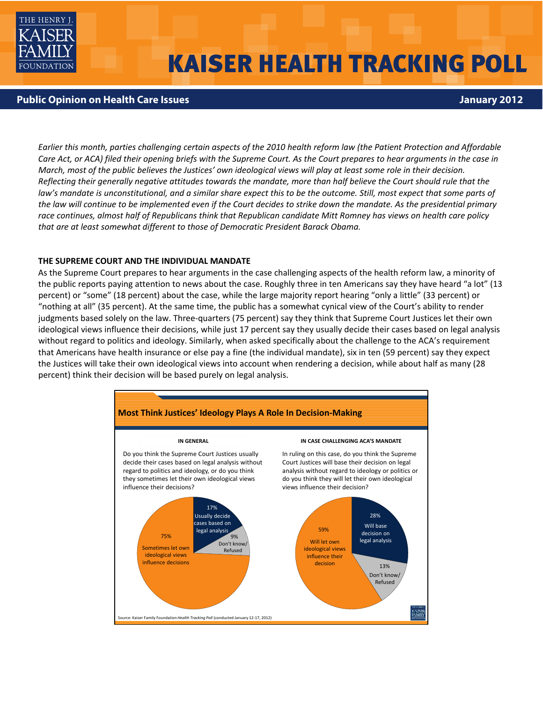

# **KAISER HEALTH TRACKING POLL**

## **Public Opinion on Health Care Issues January 2012**

Earlier this month, parties challenging certain aspects of the 2010 health reform law (the Patient Protection and Affordable Care Act, or ACA) filed their opening briefs with the Supreme Court. As the Court prepares to hear arguments in the case in March, most of the public believes the Justices' own ideological views will play at least some role in their decision. Reflecting their generally negative attitudes towards the mandate, more than half believe the Court should rule that the law's mandate is unconstitutional, and a similar share expect this to be the outcome. Still, most expect that some parts of the law will continue to be implemented even if the Court decides to strike down the mandate. As the presidential primary race continues, almost half of Republicans think that Republican candidate Mitt Romney has views on health care policy *that are at least somewhat different to those of Democratic President Barack Obama.*

### **THE SUPREME COURT AND THE INDIVIDUAL MANDATE**

As the Supreme Court prepares to hear arguments in the case challenging aspects of the health reform law, a minority of the public reports paying attention to news about the case. Roughly three in ten Americans say they have heard "a lot" (13 percent) or "some" (18 percent) about the case, while the large majority report hearing "only a little" (33 percent) or "nothing at all" (35 percent). At the same time, the public has a somewhat cynical view of the Court's ability to render judgments based solely on the law. Three-quarters (75 percent) say they think that Supreme Court Justices let their own ideological views influence their decisions, while just 17 percent say they usually decide their cases based on legal analysis without regard to politics and ideology. Similarly, when asked specifically about the challenge to the ACA's requirement that Americans have health insurance or else pay a fine (the individual mandate), six in ten (59 percent) say they expect the Justices will take their own ideological views into account when rendering a decision, while about half as many (28 percent) think their decision will be based purely on legal analysis.

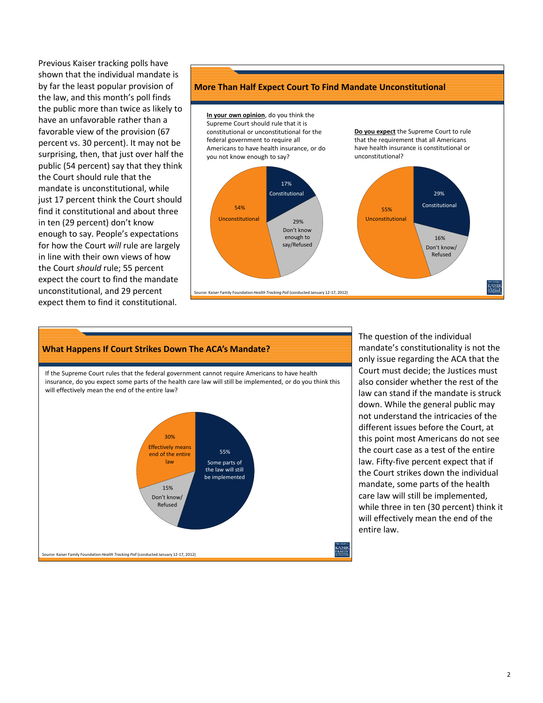Previous Kaiser tracking polls have shown that the individual mandate is by far the least popular provision of the law, and this month's poll finds the public more than twice as likely to have an unfavorable rather than a favorable view of the provision (67 percent vs. 30 percent). It may not be surprising, then, that just over half the public (54 percent) say that they think the Court should rule that the mandate is unconstitutional, while just 17 percent think the Court should find it constitutional and about three in ten (29 percent) don't know enough to say. People's expectations for how the Court *will* rule are largely in line with their own views of how the Court *should* rule; 55 percent expect the court to find the mandate unconstitutional, and 29 percent expect them to find it constitutional.

#### **More Than Half Expect Court To Find Mandate Unconstitutional**



#### **What Happens If Court Strikes Down The ACA's Mandate?**

If the Supreme Court rules that the federal government cannot require Americans to have health insurance, do you expect some parts of the health care law will still be implemented, or do you think this will effectively mean the end of the entire law?



The question of the individual mandate's constitutionality is not the only issue regarding the ACA that the Court must decide; the Justices must also consider whether the rest of the law can stand if the mandate is struck down. While the general public may not understand the intricacies of the different issues before the Court, at this point most Americans do not see the court case as a test of the entire law. Fifty‐five percent expect that if the Court strikes down the individual mandate, some parts of the health care law will still be implemented, while three in ten (30 percent) think it will effectively mean the end of the entire law.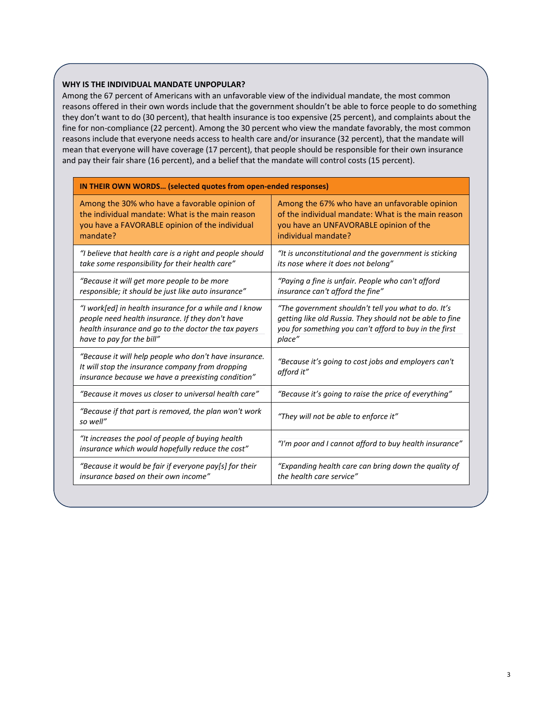## **WHY IS THE INDIVIDUAL MANDATE UNPOPULAR?**

Among the 67 percent of Americans with an unfavorable view of the individual mandate, the most common reasons offered in their own words include that the government shouldn't be able to force people to do something they don't want to do (30 percent), that health insurance is too expensive (25 percent), and complaints about the fine for non-compliance (22 percent). Among the 30 percent who view the mandate favorably, the most common reasons include that everyone needs access to health care and/or insurance (32 percent), that the mandate will mean that everyone will have coverage (17 percent), that people should be responsible for their own insurance and pay their fair share (16 percent), and a belief that the mandate will control costs (15 percent).

| IN THEIR OWN WORDS (selected quotes from open-ended responses)                                                                                                                      |  |  |
|-------------------------------------------------------------------------------------------------------------------------------------------------------------------------------------|--|--|
| Among the 67% who have an unfavorable opinion<br>of the individual mandate: What is the main reason<br>you have an UNFAVORABLE opinion of the<br>individual mandate?                |  |  |
| "It is unconstitutional and the government is sticking<br>its nose where it does not belong"                                                                                        |  |  |
| "Paying a fine is unfair. People who can't afford<br>insurance can't afford the fine"                                                                                               |  |  |
| "The government shouldn't tell you what to do. It's<br>getting like old Russia. They should not be able to fine<br>you for something you can't afford to buy in the first<br>place" |  |  |
| "Because it's going to cost jobs and employers can't<br>afford it"                                                                                                                  |  |  |
| "Because it's going to raise the price of everything"                                                                                                                               |  |  |
| "They will not be able to enforce it"                                                                                                                                               |  |  |
| "I'm poor and I cannot afford to buy health insurance"                                                                                                                              |  |  |
| "Expanding health care can bring down the quality of<br>the health care service"                                                                                                    |  |  |
|                                                                                                                                                                                     |  |  |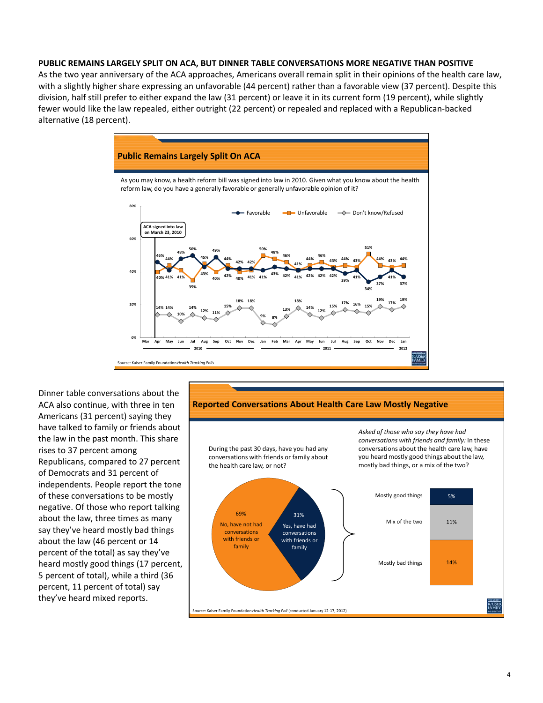#### **PUBLIC REMAINS LARGELY SPLIT ON ACA, BUT DINNER TABLE CONVERSATIONS MORE NEGATIVE THAN POSITIVE**

As the two year anniversary of the ACA approaches, Americans overall remain split in their opinions of the health care law, with a slightly higher share expressing an unfavorable (44 percent) rather than a favorable view (37 percent). Despite this division, half still prefer to either expand the law (31 percent) or leave it in its current form (19 percent), while slightly fewer would like the law repealed, either outright (22 percent) or repealed and replaced with a Republican‐backed alternative (18 percent).



Dinner table conversations about the ACA also continue, with three in ten Americans (31 percent) saying they have talked to family or friends about the law in the past month. This share rises to 37 percent among Republicans, compared to 27 percent of Democrats and 31 percent of independents. People report the tone of these conversations to be mostly negative. Of those who report talking about the law, three times as many say they've heard mostly bad things about the law (46 percent or 14 percent of the total) as say they've heard mostly good things (17 percent, 5 percent of total), while a third (36 percent, 11 percent of total) say they've heard mixed reports.

#### **Reported Conversations About Health Care Law Mostly Negative**

During the past 30 days, have you had any conversations with friends or family about the health care law, or not?



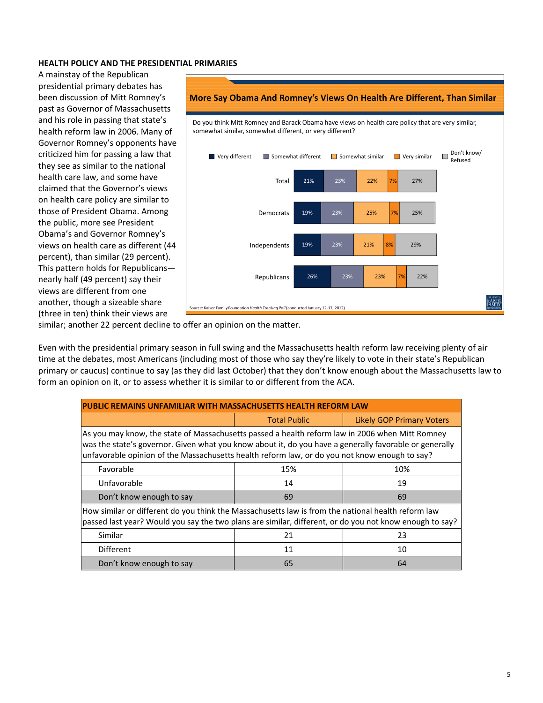## **HEALTH POLICY AND THE PRESIDENTIAL PRIMARIES**

A mainstay of the Republican presidential primary debates has been discussion of Mitt Romney's past as Governor of Massachusetts and his role in passing that state's health reform law in 2006. Many of Governor Romney's opponents have criticized him for passing a law that they see as similar to the national health care law, and some have claimed that the Governor's views on health care policy are similar to those of President Obama. Among the public, more see President Obama's and Governor Romney's views on health care as different (44 percent), than similar (29 percent). This pattern holds for Republicans nearly half (49 percent) say their views are different from one another, though a sizeable share (three in ten) think their views are



similar; another 22 percent decline to offer an opinion on the matter.

Even with the presidential primary season in full swing and the Massachusetts health reform law receiving plenty of air time at the debates, most Americans (including most of those who say they're likely to vote in their state's Republican primary or caucus) continue to say (as they did last October) that they don't know enough about the Massachusetts law to form an opinion on it, or to assess whether it is similar to or different from the ACA.

| <b>PUBLIC REMAINS UNFAMILIAR WITH MASSACHUSETTS HEALTH REFORM LAW</b>                                                                                                                                                                                                                                      |                     |                                  |  |
|------------------------------------------------------------------------------------------------------------------------------------------------------------------------------------------------------------------------------------------------------------------------------------------------------------|---------------------|----------------------------------|--|
|                                                                                                                                                                                                                                                                                                            | <b>Total Public</b> | <b>Likely GOP Primary Voters</b> |  |
| As you may know, the state of Massachusetts passed a health reform law in 2006 when Mitt Romney<br>was the state's governor. Given what you know about it, do you have a generally favorable or generally<br>unfavorable opinion of the Massachusetts health reform law, or do you not know enough to say? |                     |                                  |  |
| Favorable                                                                                                                                                                                                                                                                                                  | 15%                 | 10%                              |  |
| Unfavorable                                                                                                                                                                                                                                                                                                | 14                  | 19                               |  |
| Don't know enough to say                                                                                                                                                                                                                                                                                   | 69                  | 69                               |  |
| How similar or different do you think the Massachusetts law is from the national health reform law<br>passed last year? Would you say the two plans are similar, different, or do you not know enough to say?                                                                                              |                     |                                  |  |
| Similar                                                                                                                                                                                                                                                                                                    | 21                  | 23                               |  |
| <b>Different</b>                                                                                                                                                                                                                                                                                           | 11                  | 10                               |  |
| Don't know enough to say                                                                                                                                                                                                                                                                                   | 65                  | 64                               |  |